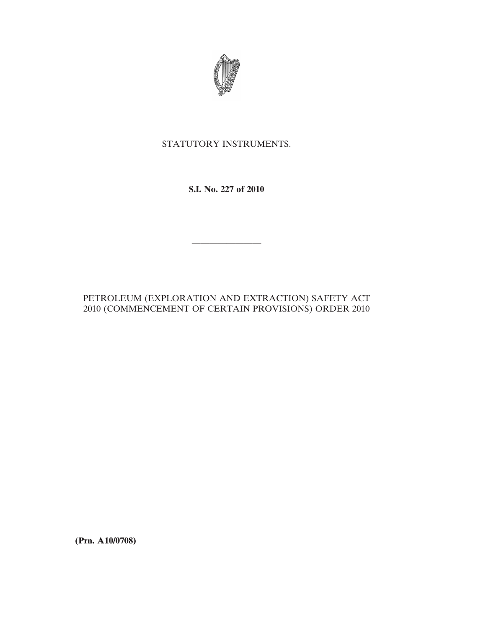

# STATUTORY INSTRUMENTS.

## **S.I. No. 227 of 2010**

————————

### PETROLEUM (EXPLORATION AND EXTRACTION) SAFETY ACT 2010 (COMMENCEMENT OF CERTAIN PROVISIONS) ORDER 2010

**(Prn. A10/0708)**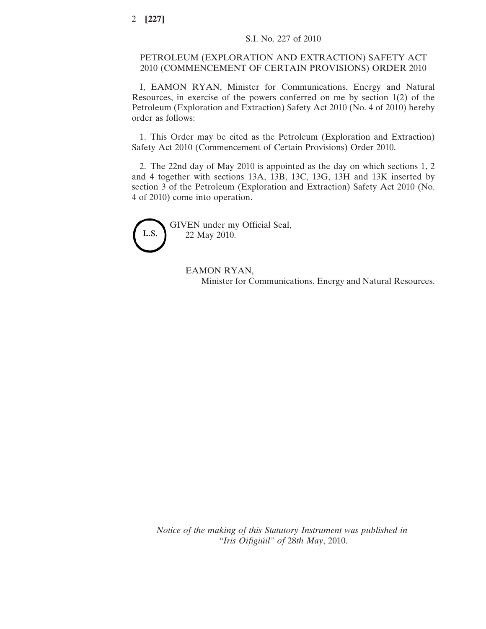### PETROLEUM (EXPLORATION AND EXTRACTION) SAFETY ACT 2010 (COMMENCEMENT OF CERTAIN PROVISIONS) ORDER 2010

I, EAMON RYAN, Minister for Communications, Energy and Natural Resources, in exercise of the powers conferred on me by section 1(2) of the Petroleum (Exploration and Extraction) Safety Act 2010 (No. 4 of 2010) hereby order as follows:

1. This Order may be cited as the Petroleum (Exploration and Extraction) Safety Act 2010 (Commencement of Certain Provisions) Order 2010.

2. The 22nd day of May 2010 is appointed as the day on which sections 1, 2 and 4 together with sections 13A, 13B, 13C, 13G, 13H and 13K inserted by section 3 of the Petroleum (Exploration and Extraction) Safety Act 2010 (No. 4 of 2010) come into operation.



GIVEN under my Official Seal, 22 May 2010.

> EAMON RYAN, Minister for Communications, Energy and Natural Resources.

*Notice of the making of this Statutory Instrument was published in "Iris Oifigiúil" of* 28*th May*, 2010.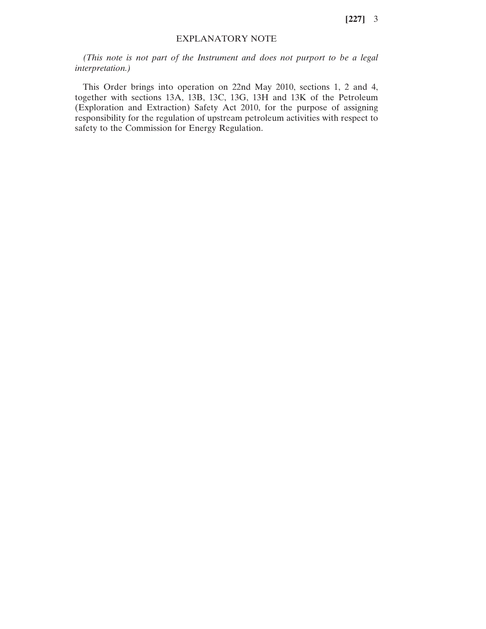**[227]** 3

### EXPLANATORY NOTE

*(This note is not part of the Instrument and does not purport to be a legal interpretation.)*

This Order brings into operation on 22nd May 2010, sections 1, 2 and 4, together with sections 13A, 13B, 13C, 13G, 13H and 13K of the Petroleum (Exploration and Extraction) Safety Act 2010, for the purpose of assigning responsibility for the regulation of upstream petroleum activities with respect to safety to the Commission for Energy Regulation.